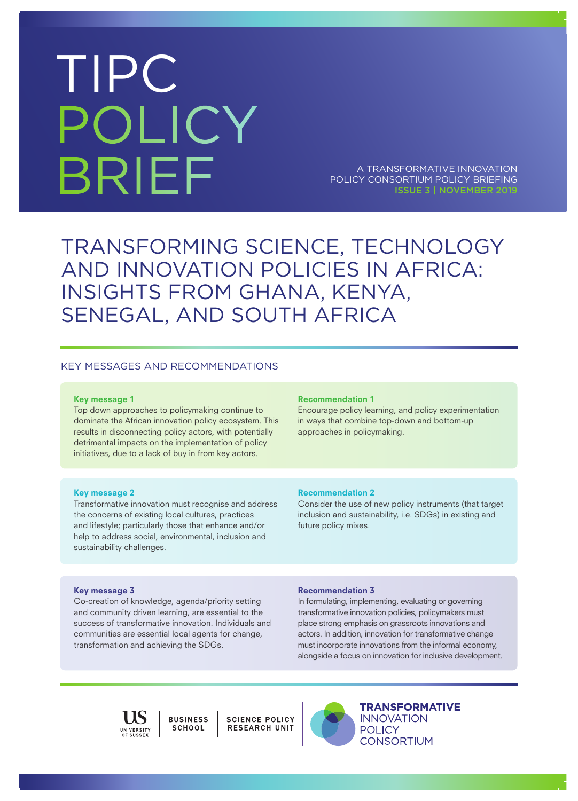# TIPC POLICY BRIEF

A TRANSFORMATIVE INNOVATION POLICY CONSORTIUM POLICY BRIEFING ISSUE 3 | NOVEMBER 2019

### TRANSFORMING SCIENCE, TECHNOLOGY AND INNOVATION POLICIES IN AFRICA: INSIGHTS FROM GHANA, KENYA, SENEGAL, AND SOUTH AFRICA

### KEY MESSAGES AND RECOMMENDATIONS

#### Key message 1

Top down approaches to policymaking continue to dominate the African innovation policy ecosystem. This results in disconnecting policy actors, with potentially detrimental impacts on the implementation of policy initiatives, due to a lack of buy in from key actors.

#### Recommendation 1

Encourage policy learning, and policy experimentation in ways that combine top-down and bottom-up approaches in policymaking.

#### Key message 2

Transformative innovation must recognise and address the concerns of existing local cultures, practices and lifestyle; particularly those that enhance and/or help to address social, environmental, inclusion and sustainability challenges.

#### Recommendation 2

Consider the use of new policy instruments (that target inclusion and sustainability, i.e. SDGs) in existing and future policy mixes.

### Key message 3

Co-creation of knowledge, agenda/priority setting and community driven learning, are essential to the success of transformative innovation. Individuals and communities are essential local agents for change, transformation and achieving the SDGs.

#### Recommendation 3

In formulating, implementing, evaluating or governing transformative innovation policies, policymakers must place strong emphasis on grassroots innovations and actors. In addition, innovation for transformative change must incorporate innovations from the informal economy, alongside a focus on innovation for inclusive development.



**BUSINESS SCHOOL** 

SCIENCE POLICY<br>RESEARCH UNIT



**TRANSFORMATIVE INNOVATION POLICY CONSORTIUM**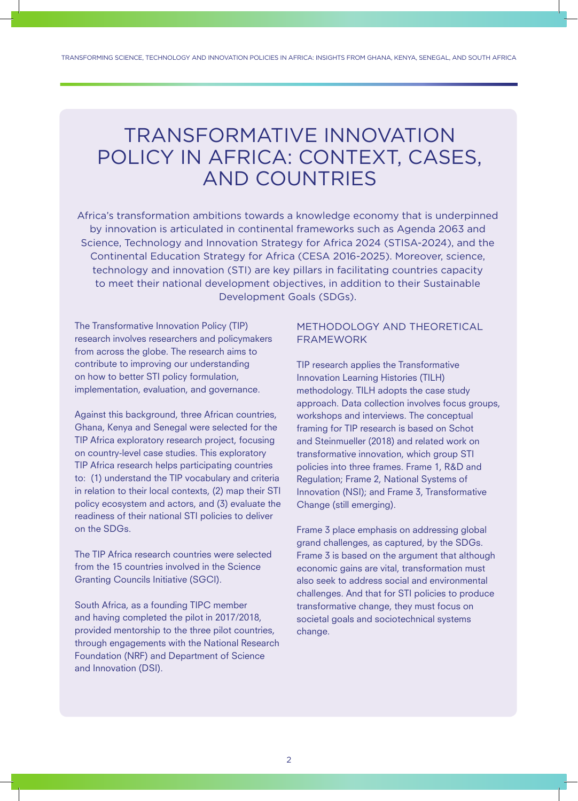### TRANSFORMATIVE INNOVATION POLICY IN AFRICA: CONTEXT, CASES, AND COUNTRIES

Africa's transformation ambitions towards a knowledge economy that is underpinned by innovation is articulated in continental frameworks such as Agenda 2063 and Science, Technology and Innovation Strategy for Africa 2024 (STISA-2024), and the Continental Education Strategy for Africa (CESA 2016-2025). Moreover, science, technology and innovation (STI) are key pillars in facilitating countries capacity to meet their national development objectives, in addition to their Sustainable Development Goals (SDGs).

The Transformative Innovation Policy (TIP) research involves researchers and policymakers from across the globe. The research aims to contribute to improving our understanding on how to better STI policy formulation, implementation, evaluation, and governance.

Against this background, three African countries, Ghana, Kenya and Senegal were selected for the TIP Africa exploratory research project, focusing on country-level case studies. This exploratory TIP Africa research helps participating countries to: (1) understand the TIP vocabulary and criteria in relation to their local contexts, (2) map their STI policy ecosystem and actors, and (3) evaluate the readiness of their national STI policies to deliver on the SDGs.

The TIP Africa research countries were selected from the 15 countries involved in the Science Granting Councils Initiative (SGCI).

South Africa, as a founding TIPC member and having completed the pilot in 2017/2018, provided mentorship to the three pilot countries, through engagements with the National Research Foundation (NRF) and Department of Science and Innovation (DSI).

### METHODOLOGY AND THEORETICAL FRAMEWORK

TIP research applies the Transformative Innovation Learning Histories (TILH) methodology. TILH adopts the case study approach. Data collection involves focus groups, workshops and interviews. The conceptual framing for TIP research is based on Schot and Steinmueller (2018) and related work on transformative innovation, which group STI policies into three frames. Frame 1, R&D and Regulation; Frame 2, National Systems of Innovation (NSI); and Frame 3, Transformative Change (still emerging).

Frame 3 place emphasis on addressing global grand challenges, as captured, by the SDGs. Frame 3 is based on the argument that although economic gains are vital, transformation must also seek to address social and environmental challenges. And that for STI policies to produce transformative change, they must focus on societal goals and sociotechnical systems change.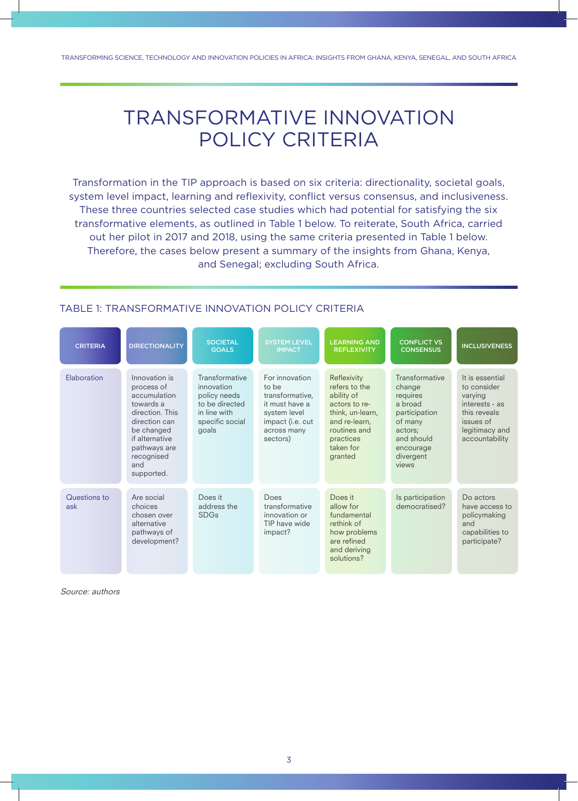### TRANSFORMATIVE INNOVATION POLICY CRITERIA

Transformation in the TIP approach is based on six criteria: directionality, societal goals, system level impact, learning and reflexivity, conflict versus consensus, and inclusiveness. These three countries selected case studies which had potential for satisfying the six transformative elements, as outlined in Table 1 below. To reiterate, South Africa, carried out her pilot in 2017 and 2018, using the same criteria presented in Table 1 below. Therefore, the cases below present a summary of the insights from Ghana, Kenya, and Senegal; excluding South Africa.

| <b>CRITERIA</b>     | <b>DIRECTIONALITY</b>                                                                                                                                                           | <b>SOCIETAL</b><br><b>GOALS</b>                                                                            | <b>SYSTEM LEVEL</b><br><b>IMPACT</b>                                                                                        | <b>LEARNING AND</b><br><b>REFLEXIVITY</b>                                                                                                             | <b>CONFLICT VS</b><br><b>CONSENSUS</b>                                                                                                  | <b>INCLUSIVENESS</b>                                                                                                         |
|---------------------|---------------------------------------------------------------------------------------------------------------------------------------------------------------------------------|------------------------------------------------------------------------------------------------------------|-----------------------------------------------------------------------------------------------------------------------------|-------------------------------------------------------------------------------------------------------------------------------------------------------|-----------------------------------------------------------------------------------------------------------------------------------------|------------------------------------------------------------------------------------------------------------------------------|
| Flaboration         | Innovation is<br>process of<br>accumulation<br>towards a<br>direction. This<br>direction can<br>be changed<br>if alternative<br>pathways are<br>recognised<br>and<br>supported. | Transformative<br>innovation<br>policy needs<br>to be directed<br>in line with<br>specific social<br>goals | For innovation<br>to be<br>transformative,<br>it must have a<br>system level<br>impact (i.e. cut<br>across many<br>sectors) | Reflexivity<br>refers to the<br>ability of<br>actors to re-<br>think, un-learn,<br>and re-learn,<br>routines and<br>practices<br>taken for<br>granted | Transformative<br>change<br>requires<br>a broad<br>participation<br>of many<br>actors;<br>and should<br>encourage<br>divergent<br>views | It is essential<br>to consider<br>varying<br>interests - as<br>this reveals<br>issues of<br>legitimacy and<br>accountability |
| Questions to<br>ask | Are social<br>choices<br>chosen over<br>alternative<br>pathways of<br>development?                                                                                              | Does it<br>address the<br><b>SDGs</b>                                                                      | Does<br>transformative<br>innovation or<br>TIP have wide<br>impact?                                                         | Does it<br>allow for<br>fundamental<br>rethink of<br>how problems<br>are refined<br>and deriving<br>solutions?                                        | Is participation<br>democratised?                                                                                                       | Do actors<br>have access to<br>policymaking<br>and<br>capabilities to<br>participate?                                        |

### TABLE 1: TRANSFORMATIVE INNOVATION POLICY CRITERIA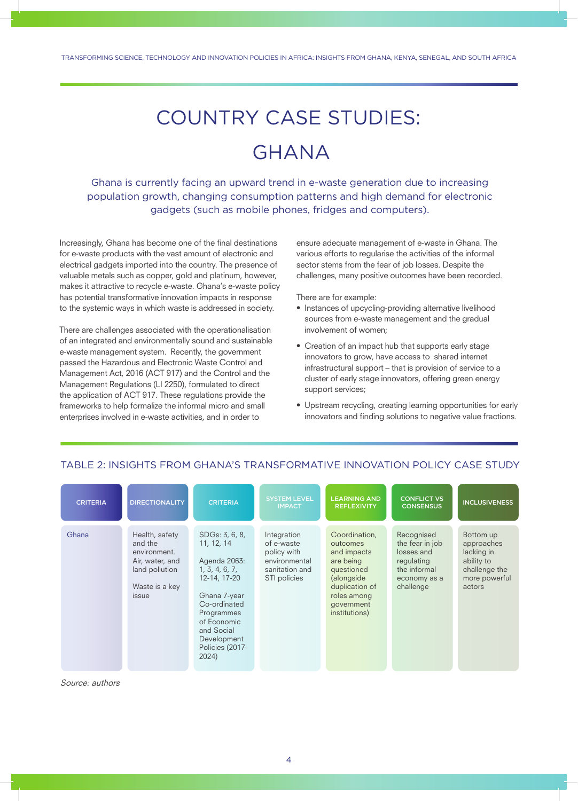## COUNTRY CASE STUDIES:

### GHANA

Ghana is currently facing an upward trend in e-waste generation due to increasing population growth, changing consumption patterns and high demand for electronic gadgets (such as mobile phones, fridges and computers).

Increasingly, Ghana has become one of the final destinations for e-waste products with the vast amount of electronic and electrical gadgets imported into the country. The presence of valuable metals such as copper, gold and platinum, however, makes it attractive to recycle e-waste. Ghana's e-waste policy has potential transformative innovation impacts in response to the systemic ways in which waste is addressed in society.

There are challenges associated with the operationalisation of an integrated and environmentally sound and sustainable e-waste management system. Recently, the government passed the Hazardous and Electronic Waste Control and Management Act, 2016 (ACT 917) and the Control and the Management Regulations (LI 2250), formulated to direct the application of ACT 917. These regulations provide the frameworks to help formalize the informal micro and small enterprises involved in e-waste activities, and in order to

ensure adequate management of e-waste in Ghana. The various efforts to regularise the activities of the informal sector stems from the fear of job losses. Despite the challenges, many positive outcomes have been recorded.

There are for example:

- Instances of upcycling-providing alternative livelihood sources from e-waste management and the gradual involvement of women;
- Creation of an impact hub that supports early stage innovators to grow, have access to shared internet infrastructural support – that is provision of service to a cluster of early stage innovators, offering green energy support services;
- Upstream recycling, creating learning opportunities for early innovators and finding solutions to negative value fractions.

#### CONFLICT VS **CONSENSUS** SYSTEM LEVEL<br>IMPACT CRITERIA DIRECTIONALITY CRITERIA ISYSTEMLEVEL LEARNING AND CONFLICT VS INCLUSIVENESS Ghana Health, safety and the environment. Air, water, and land pollution Waste is a key issue SDGs: 3, 6, 8, 11, 12, 14 Agenda 2063: 1, 3, 4, 6, 7, 12-14, 17-20 Ghana 7-year Co-ordinated Programmes of Economic and Social Development Policies (2017- 2024) Integration of e-waste policy with environmental sanitation and STI policies Coordination, outcomes and impacts are being questioned (alongside duplication of roles among government institutions) Recognised the fear in job losses and regulating the informal economy as a challenge Bottom up approaches lacking in ability to challenge the more powerful actors

### TABLE 2: INSIGHTS FROM GHANA'S TRANSFORMATIVE INNOVATION POLICY CASE STUDY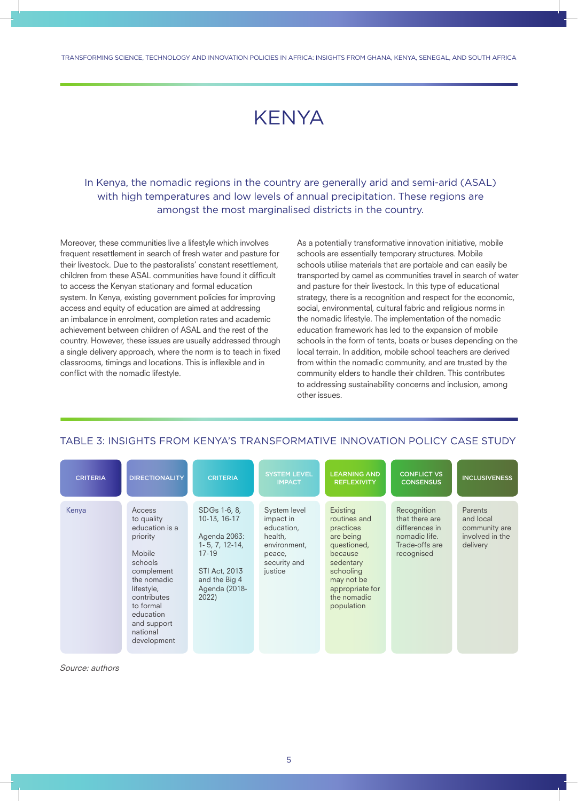TRANSFORMING SCIENCE TECHNOLOGY AND INNOVATION POLICIES IN AFRICA: INSIGHTS FROM GHANA KENYA SENEGAL AND SOUTH AFRICA

### **KENYA**

In Kenya, the nomadic regions in the country are generally arid and semi-arid (ASAL) with high temperatures and low levels of annual precipitation. These regions are amongst the most marginalised districts in the country.

Moreover, these communities live a lifestyle which involves frequent resettlement in search of fresh water and pasture for their livestock. Due to the pastoralists' constant resettlement, children from these ASAL communities have found it difficult to access the Kenyan stationary and formal education system. In Kenya, existing government policies for improving access and equity of education are aimed at addressing an imbalance in enrolment, completion rates and academic achievement between children of ASAL and the rest of the country. However, these issues are usually addressed through a single delivery approach, where the norm is to teach in fixed classrooms, timings and locations. This is inflexible and in conflict with the nomadic lifestyle.

As a potentially transformative innovation initiative, mobile schools are essentially temporary structures. Mobile schools utilise materials that are portable and can easily be transported by camel as communities travel in search of water and pasture for their livestock. In this type of educational strategy, there is a recognition and respect for the economic, social, environmental, cultural fabric and religious norms in the nomadic lifestyle. The implementation of the nomadic education framework has led to the expansion of mobile schools in the form of tents, boats or buses depending on the local terrain. In addition, mobile school teachers are derived from within the nomadic community, and are trusted by the community elders to handle their children. This contributes to addressing sustainability concerns and inclusion, among other issues.

| <b>CRITERIA</b> | <b>DIRECTIONALITY</b>                                                                                                                                                                                 | <b>CRITERIA</b>                                                                                                                               | <b>SYSTEM LEVEL</b><br><b>IMPACT</b>                                                                    | <b>LEARNING AND</b><br><b>REFLEXIVITY</b>                                                                                                                            | <b>CONFLICT VS</b><br><b>CONSENSUS</b>                                                           | <b>INCLUSIVENESS</b>                                                 |
|-----------------|-------------------------------------------------------------------------------------------------------------------------------------------------------------------------------------------------------|-----------------------------------------------------------------------------------------------------------------------------------------------|---------------------------------------------------------------------------------------------------------|----------------------------------------------------------------------------------------------------------------------------------------------------------------------|--------------------------------------------------------------------------------------------------|----------------------------------------------------------------------|
| Kenya           | Access<br>to quality<br>education is a<br>priority<br>Mobile<br>schools<br>complement<br>the nomadic<br>lifestyle,<br>contributes<br>to formal<br>education<br>and support<br>national<br>development | SDGs 1-6, 8,<br>10-13, 16-17<br>Agenda 2063:<br>$1 - 5, 7, 12 - 14,$<br>$17 - 19$<br>STI Act, 2013<br>and the Big 4<br>Agenda (2018-<br>2022) | System level<br>impact in<br>education,<br>health,<br>environment,<br>peace,<br>security and<br>justice | Existing<br>routines and<br>practices<br>are being<br>questioned,<br>because<br>sedentary<br>schooling<br>may not be<br>appropriate for<br>the nomadic<br>population | Recognition<br>that there are<br>differences in<br>nomadic life.<br>Trade-offs are<br>recognised | Parents<br>and local<br>community are<br>involved in the<br>delivery |

### TABLE 3: INSIGHTS FROM KENYA'S TRANSFORMATIVE INNOVATION POLICY CASE STUDY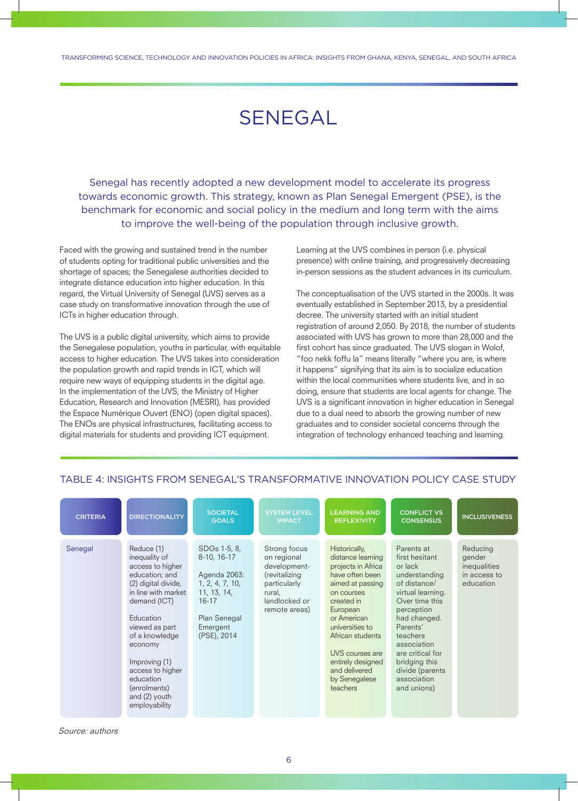### SENEGAL

Senegal has recently adopted a new development model to accelerate its progress towards economic growth. This strategy, known as Plan Senegal Emergent (PSE), is the benchmark for economic and social policy in the medium and long term with the aims to improve the well-being of the population through inclusive growth.

Faced with the growing and sustained trend in the number of students opting for traditional public universities and the shortage of spaces; the Senegalese authorities decided to integrate distance education into higher education. In this regard, the Virtual University of Senegal (UVS) serves as a case study on transformative innovation through the use of ICTs in higher education through.

The UVS is a public digital university, which aims to provide the Senegalese population, youths in particular, with equitable access to higher education. The UVS takes into consideration the population growth and rapid trends in ICT, which will require new ways of equipping students in the digital age. In the implementation of the UVS, the Ministry of Higher Education, Research and Innovation (MESRI), has provided the Espace Numérique Ouvert (ENO) (open digital spaces). The ENOs are physical infrastructures, facilitating access to digital materials for students and providing ICT equipment.

Learning at the UVS combines in person (i.e. physical presence) with online training, and progressively decreasing in-person sessions as the student advances in its curriculum.

The conceptualisation of the UVS started in the 2000s. It was eventually established in September 2013, by a presidential decree. The university started with an initial student registration of around 2,050. By 2018, the number of students associated with UVS has grown to more than 28,000 and the first cohort has since graduated. The UVS slogan in Wolof, "foo nekk foffu la" means literally "where you are, is where it happens" signifying that its aim is to socialize education within the local communities where students live, and in so doing, ensure that students are local agents for change. The UVS is a significant innovation in higher education in Senegal due to a dual need to absorb the growing number of new graduates and to consider societal concerns through the integration of technology enhanced teaching and learning.

| <b>CRITERIA</b> | <b>DIRECTIONALITY</b>                                                                                                                                                                                                                                                                           | <b>SOCIETAL</b><br><b>GOALS</b>                                                                                                       | <b>SYSTEM LEVEL</b><br><b>IMPACT</b>                                                                                     | <b>LEARNING AND</b><br><b>REFLEXIVITY</b>                                                                                                                                                                                                                                           | <b>CONFLICT VS</b><br><b>CONSENSUS</b>                                                                                                                                                                                                                                     | <b>INCLUSIVENESS</b>                                            |
|-----------------|-------------------------------------------------------------------------------------------------------------------------------------------------------------------------------------------------------------------------------------------------------------------------------------------------|---------------------------------------------------------------------------------------------------------------------------------------|--------------------------------------------------------------------------------------------------------------------------|-------------------------------------------------------------------------------------------------------------------------------------------------------------------------------------------------------------------------------------------------------------------------------------|----------------------------------------------------------------------------------------------------------------------------------------------------------------------------------------------------------------------------------------------------------------------------|-----------------------------------------------------------------|
| Senegal         | Reduce (1)<br>inequality of<br>access to higher<br>education; and<br>(2) digital divide,<br>in line with market<br>demand (ICT)<br>Education<br>viewed as part<br>of a knowledge<br>economy<br>Improving (1)<br>access to higher<br>education<br>(enrolments)<br>and (2) youth<br>employability | SDGs 1-5, 8,<br>8-10, 16-17<br>Agenda 2063:<br>1, 2, 4, 7, 10,<br>11, 13, 14,<br>$16 - 17$<br>Plan Senegal<br>Emergent<br>(PSE), 2014 | Strong focus<br>on regional<br>development-<br>(revitalizing<br>particularly<br>rural,<br>landlocked or<br>remote areas) | Historically,<br>distance learning<br>projects in Africa<br>have often been<br>aimed at passing<br>on courses<br>created in<br>European<br>or American<br>universities to<br>African students<br>UVS courses are<br>entirely designed<br>and delivered<br>by Senegalese<br>teachers | Parents at<br>first hesitant<br>or lack<br>understanding<br>of distance/<br>virtual learning.<br>Over time this<br>perception<br>had changed.<br>Parents'<br>teachers<br>association<br>are critical for<br>bridging this<br>divide (parents<br>association<br>and unions) | Reducing<br>gender<br>inequalities<br>in access to<br>education |

### TABLE 4: INSIGHTS FROM SENEGAL'S TRANSFORMATIVE INNOVATION POLICY CASE STUDY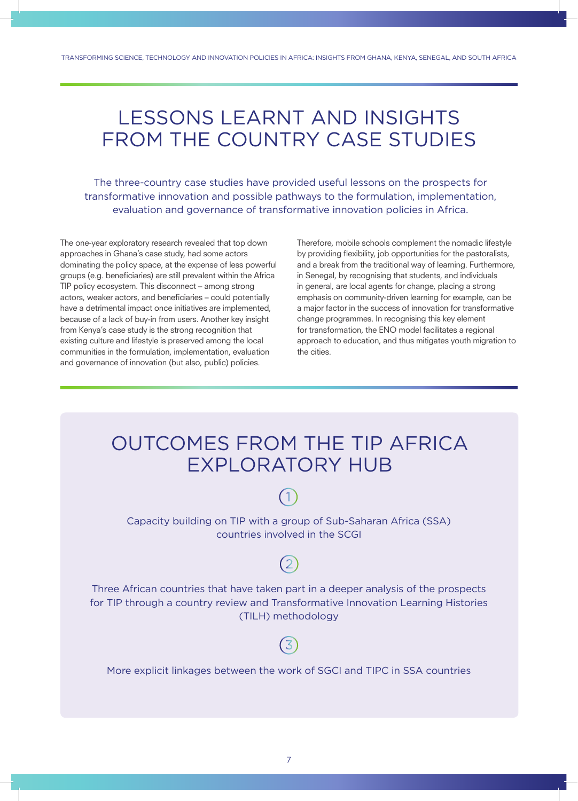### LESSONS LEARNT AND INSIGHTS FROM THE COUNTRY CASE STUDIES

The three-country case studies have provided useful lessons on the prospects for transformative innovation and possible pathways to the formulation, implementation, evaluation and governance of transformative innovation policies in Africa.

The one-year exploratory research revealed that top down approaches in Ghana's case study, had some actors dominating the policy space, at the expense of less powerful groups (e.g. beneficiaries) are still prevalent within the Africa TIP policy ecosystem. This disconnect – among strong actors, weaker actors, and beneficiaries – could potentially have a detrimental impact once initiatives are implemented, because of a lack of buy-in from users. Another key insight from Kenya's case study is the strong recognition that existing culture and lifestyle is preserved among the local communities in the formulation, implementation, evaluation and governance of innovation (but also, public) policies.

Therefore, mobile schools complement the nomadic lifestyle by providing flexibility, job opportunities for the pastoralists, and a break from the traditional way of learning. Furthermore, in Senegal, by recognising that students, and individuals in general, are local agents for change, placing a strong emphasis on community-driven learning for example, can be a major factor in the success of innovation for transformative change programmes. In recognising this key element for transformation, the ENO model facilitates a regional approach to education, and thus mitigates youth migration to the cities.